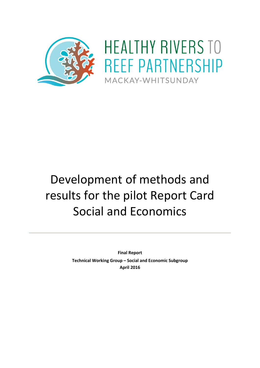

# Development of methods and results for the pilot Report Card Social and Economics

**Final Report Technical Working Group – Social and Economic Subgroup April 2016**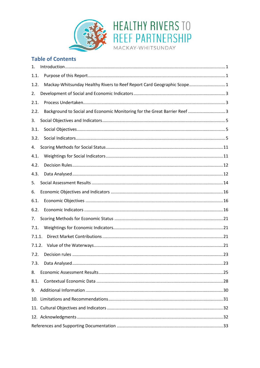

## **Table of Contents**

| 1.     |                                                                            |
|--------|----------------------------------------------------------------------------|
| 1.1.   |                                                                            |
| 1.2.   | Mackay-Whitsunday Healthy Rivers to Reef Report Card Geographic Scope1     |
| 2.     |                                                                            |
| 2.1.   |                                                                            |
| 2.2.   | Background to Social and Economic Monitoring for the Great Barrier Reef  3 |
| 3.     |                                                                            |
| 3.1.   |                                                                            |
| 3.2.   |                                                                            |
| 4.     |                                                                            |
| 4.1.   |                                                                            |
| 4.2.   |                                                                            |
| 4.3.   |                                                                            |
| 5.     |                                                                            |
| 6.     |                                                                            |
| 6.1.   |                                                                            |
| 6.2.   |                                                                            |
| 7.     |                                                                            |
| 7.1.   |                                                                            |
| 7.1.1. |                                                                            |
| 7.1.2. |                                                                            |
| 7.2.   |                                                                            |
| 7.3.   |                                                                            |
| 8.     |                                                                            |
| 8.1.   |                                                                            |
| 9.     |                                                                            |
|        |                                                                            |
|        |                                                                            |
|        |                                                                            |
|        |                                                                            |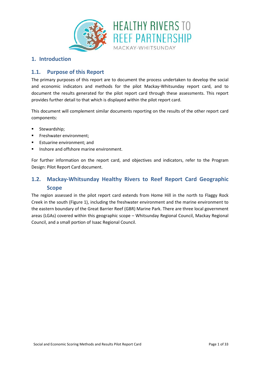

#### **1. Introduction**

#### **1.1. Purpose of this Report**

The primary purposes of this report are to document the process undertaken to develop the social and economic indicators and methods for the pilot Mackay-Whitsunday report card, and to document the results generated for the pilot report card through these assessments. This report provides further detail to that which is displayed within the pilot report card.

This document will complement similar documents reporting on the results of the other report card components:

- Stewardship;
- Freshwater environment;
- Estuarine environment; and
- **Inshore and offshore marine environment.**

For further information on the report card, and objectives and indicators, refer to the Program Design: Pilot Report Card document.

## **1.2. Mackay-Whitsunday Healthy Rivers to Reef Report Card Geographic Scope**

The region assessed in the pilot report card extends from Home Hill in the north to Flaggy Rock Creek in the south [\(Figure 1\)](#page-3-0), including the freshwater environment and the marine environment to the eastern boundary of the Great Barrier Reef (GBR) Marine Park. There are three local government areas (LGAs) covered within this geographic scope – Whitsunday Regional Council, Mackay Regional Council, and a small portion of Isaac Regional Council.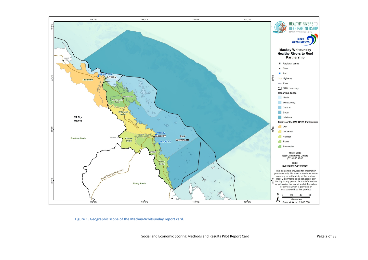

<span id="page-3-0"></span>**Figure 1. Geographic scope of the Mackay-Whitsunday report card.**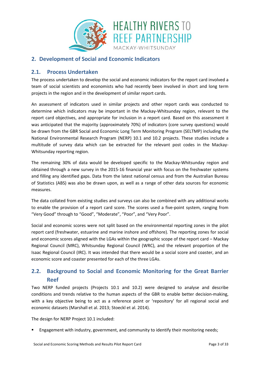![](_page_4_Picture_0.jpeg)

### **2. Development of Social and Economic Indicators**

#### **2.1. Process Undertaken**

The process undertaken to develop the social and economic indicators for the report card involved a team of social scientists and economists who had recently been involved in short and long term projects in the region and in the development of similar report cards.

An assessment of indicators used in similar projects and other report cards was conducted to determine which indicators may be important in the Mackay-Whitsunday region, relevant to the report card objectives, and appropriate for inclusion in a report card. Based on this assessment it was anticipated that the majority (approximately 70%) of indicators (core survey questions) would be drawn from the GBR Social and Economic Long Term Monitoring Program (SELTMP) including the National Environmental Research Program (NERP) 10.1 and 10.2 projects. These studies include a multitude of survey data which can be extracted for the relevant post codes in the Mackay-Whitsunday reporting region.

The remaining 30% of data would be developed specific to the Mackay-Whitsunday region and obtained through a new survey in the 2015-16 financial year with focus on the freshwater systems and filling any identified gaps. Data from the latest national census and from the Australian Bureau of Statistics (ABS) was also be drawn upon, as well as a range of other data sources for economic measures.

The data collated from existing studies and surveys can also be combined with any additional works to enable the provision of a report card score. The scores used a five-point system, ranging from "Very Good" through to "Good", "Moderate", "Poor", and "Very Poor".

Social and economic scores were not split based on the environmental reporting zones in the pilot report card (freshwater, estuarine and marine inshore and offshore). The reporting zones for social and economic scores aligned with the LGAs within the geographic scope of the report card – Mackay Regional Council (MRC), Whitsunday Regional Council (WRC), and the relevant proportion of the Isaac Regional Council (IRC). It was intended that there would be a social score and coaster, and an economic score and coaster presented for each of the three LGAs.

## <span id="page-4-0"></span>**2.2. Background to Social and Economic Monitoring for the Great Barrier Reef**

Two NERP funded projects (Projects 10.1 and 10.2) were designed to analyse and describe conditions and trends relative to the human aspects of the GBR to enable better decision-making, with a key objective being to act as a reference point or 'repository' for all regional social and economic datasets (Marshall et al. 2013; Stoeckl et al. 2014).

The design for NERP Project 10.1 included:

Engagement with industry, government, and community to identify their monitoring needs;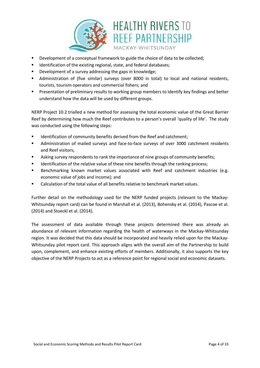![](_page_5_Picture_0.jpeg)

- Development of a conceptual framework to guide the choice of data to be collected;
- **IDENTIFICATED IS A LOCATE THE EXISTING THE EXISTING THE EXISTENCE IS A LOCATE THE EXISTENCE ISL I**
- Development of a survey addressing the gaps in knowledge;
- Administration of (five similar) surveys (over 8000 in total) to local and national residents, tourists, tourism operators and commercial fishers; and
- Presentation of preliminary results to working group members to identify key findings and better understand how the data will be used by different groups.

NERP Project 10.2 trialled a new method for assessing the total economic value of the Great Barrier Reef by determining how much the Reef contributes to a person's overall 'quality of life'. The study was conducted using the following steps:

- **IDENTIFY IDENTIFY IS A LOCATE THE META** Identification of community benefits derived from the Reef and catchment;
- Administration of mailed surveys and face-to-face surveys of over 3000 catchment residents and Reef visitors;
- **EXEDENTIFY Asking survey respondents to rank the importance of nine groups of community benefits;**
- Identification of the relative value of these nine benefits through the ranking process;
- Benchmarking known market values associated with Reef and catchment industries (e.g. economic value of jobs and income); and
- Calculation of the total value of all benefits relative to benchmark market values.

Further detail on the methodology used for the NERP funded projects (relevant to the Mackay-Whitsunday report card) can be found in Marshall et al. (2013), Bohensky et al. (2014), Pascoe et al. (2014) and Stoeckl et al. (2014).

The assessment of data available through these projects determined there was already an abundance of relevant information regarding the health of waterways in the Mackay-Whitsunday region. It was decided that this data should be incorporated and heavily relied upon for the Mackay-Whitsunday pilot report card. This approach aligns with the overall aim of the Partnership to build upon, complement, and enhance existing efforts of members. Additionally, it also supports the key objective of the NERP Projects to act as a reference point for regional social and economic datasets.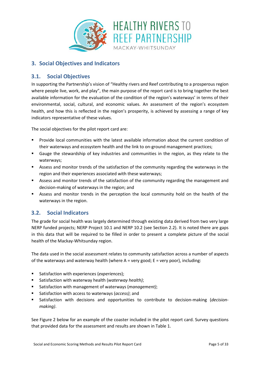![](_page_6_Picture_0.jpeg)

## **3. Social Objectives and Indicators**

#### **3.1. Social Objectives**

In supporting the Partnership's vision of "Healthy rivers and Reef contributing to a prosperous region where people live, work, and play", the main purpose of the report card is to bring together the best available information for the evaluation of the condition of the region's waterways' in terms of their environmental, social, cultural, and economic values. An assessment of the region's ecosystem health, and how this is reflected in the region's prosperity, is achieved by assessing a range of key indicators representative of these values.

The social objectives for the pilot report card are:

- Provide local communities with the latest available information about the current condition of their waterways and ecosystem health and the link to on-ground management practices;
- Gauge the stewardship of key industries and communities in the region, as they relate to the waterways;
- Assess and monitor trends of the satisfaction of the community regarding the waterways in the region and their experiences associated with these waterways;
- Assess and monitor trends of the satisfaction of the community regarding the management and decision-making of waterways in the region; and
- Assess and monitor trends in the perception the local community hold on the health of the waterways in the region.

#### **3.2. Social Indicators**

The grade for social health was largely determined through existing data derived from two very large NERP funded projects; NERP Project 10.1 and NERP 10.2 (see Section [2.2\)](#page-4-0). It is noted there are gaps in this data that will be required to be filled in order to present a complete picture of the social health of the Mackay-Whitsunday region.

The data used in the social assessment relates to community satisfaction across a number of aspects of the waterways and waterway health (where  $A =$  very good;  $E =$  very poor), including:

- Satisfaction with experiences (*experiences*);
- Satisfaction with waterway health (*waterway health)*;
- Satisfaction with management of waterways (*management)*;
- Satisfaction with access to waterways (*access)*; and
- Satisfaction with decisions and opportunities to contribute to decision-making (*decisionmaking)*.

See [Figure 2](#page-7-0) below for an example of the coaster included in the pilot report card. Survey questions that provided data for the assessment and results are shown i[n Table 1.](#page-8-0)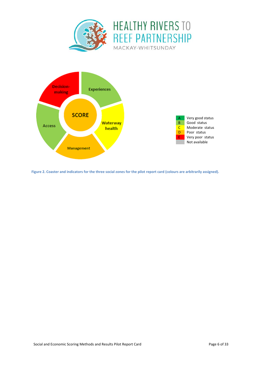![](_page_7_Picture_0.jpeg)

![](_page_7_Figure_1.jpeg)

<span id="page-7-0"></span>**Figure 2. Coaster and indicators for the three social zones for the pilot report card (colours are arbitrarily assigned).**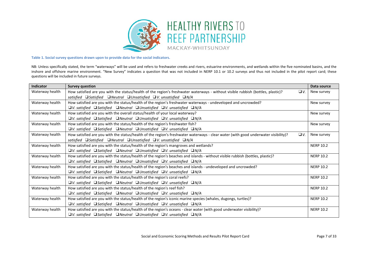![](_page_8_Picture_0.jpeg)

**Table 1. Social survey questions drawn upon to provide data for the social indicators.**

NB: Unless specifically stated, the term "waterways" will be used and refers to freshwater creeks and rivers, estuarine environments, and wetlands within the five nominated basins, and the inshore and offshore marine environment. "New Survey" indicates a question that was not included in NERP 10.1 or 10.2 surveys and thus not included in the pilot report card; these questions will be included in future surveys.

<span id="page-8-0"></span>

| Indicator       | <b>Survey question</b>                                                                                                                         | Data source      |
|-----------------|------------------------------------------------------------------------------------------------------------------------------------------------|------------------|
| Waterway health | How satisfied are you with the status/health of the region's freshwater waterways - without visible rubbish (bottles, plastic)?<br>$\Box V.$   | New survey       |
|                 | satisfied $\square$ Satisfied $\square$ Neutral $\square$ Unsatisfied $\square$ V. unsatisfied $\square$ N/A                                   |                  |
| Waterway health | How satisfied are you with the status/health of the region's freshwater waterways - undeveloped and uncrowded?                                 | New survey       |
|                 | $\Box$ V. satisfied $\Box$ Satisfied $\Box$ Neutral $\Box$ Unsatisfied $\Box$ V. unsatisfied $\Box$ N/A                                        |                  |
| Waterway health | How satisfied are you with the overall status/health of your local waterway?                                                                   | New survey       |
|                 | $\Box$ V. satisfied $\Box$ Satisfied $\Box$ Neutral $\Box$ Unsatisfied $\Box$ V. unsatisfied $\Box$ N/A                                        |                  |
| Waterway health | How satisfied are you with the status/health of the region's freshwater fish?                                                                  | New survey       |
|                 | $\n  QV.$ satisfied $\Box$ Satisfied $\Box$ Neutral $\Box$ Unsatisfied $\Box$ V. unsatisfied $\Box$ N/A                                        |                  |
| Waterway health | How satisfied are you with the status/health of the region's freshwater waterways - clear water (with good underwater visibility)?<br>$\Box V$ | New survey       |
|                 | satisfied <b>Satisfied ONeutral OUnsatisfied OV. unsatisfied ON/A</b>                                                                          |                  |
| Waterway health | How satisfied are you with the status/health of the region's mangroves and wetlands?                                                           | <b>NERP 10.2</b> |
|                 | $\n  QV.$ satisfied $\n  QSatisfied$ $\n  QNeutral$ $QV.$ unsatisfied $QN/A$                                                                   |                  |
| Waterway health | How satisfied are you with the status/health of the region's beaches and islands - without visible rubbish (bottles, plastic)?                 | <b>NERP 10.2</b> |
|                 | $\Box$ V. satisfied $\Box$ Satisfied $\Box$ Neutral $\Box$ Unsatisfied $\Box$ V. unsatisfied $\Box$ N/A                                        |                  |
| Waterway health | How satisfied are you with the status/health of the region's beaches and islands - undeveloped and uncrowded?                                  | <b>NERP 10.2</b> |
|                 | $\n  QV.$ satisfied $\n  QSatisfied$ $\n  QNeutral$ $QV.$ unsatisfied $QN/A$                                                                   |                  |
| Waterway health | How satisfied are you with the status/health of the region's coral reefs?                                                                      | <b>NERP 10.2</b> |
|                 | $\Box$ V. satisfied $\Box$ Satisfied $\Box$ Neutral $\Box$ Unsatisfied $\Box$ V. unsatisfied $\Box$ N/A                                        |                  |
| Waterway health | How satisfied are you with the status/health of the region's reef fish?                                                                        | <b>NERP 10.2</b> |
|                 | $\Box$ V. satisfied $\Box$ Satisfied $\Box$ Neutral $\Box$ Unsatisfied $\Box$ V. unsatisfied $\Box$ N/A                                        |                  |
| Waterway health | How satisfied are you with the status/health of the region's iconic marine species (whales, dugongs, turtles)?                                 | <b>NERP 10.2</b> |
|                 | $\Box$ V. satisfied $\Box$ Satisfied $\Box$ Neutral $\Box$ Unsatisfied $\Box$ V. unsatisfied $\Box$ N/A                                        |                  |
| Waterway health | How satisfied are you with the status/health of the region's oceans - clear water (with good underwater visibility)?                           | <b>NERP 10.2</b> |
|                 | $\Box$ V. satisfied $\Box$ Satisfied $\Box$ Neutral $\Box$ Unsatisfied $\Box$ V. unsatisfied $\Box$ N/A                                        |                  |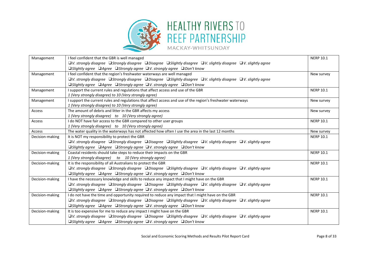![](_page_9_Picture_0.jpeg)

## **HEALTHY RIVERS TO REEF PARTNERSHIP**

MACKAY-WHITSUNDAY

| Management                                                        | <b>NERP 10.1</b>                                                                                                                                   |                  |  |  |
|-------------------------------------------------------------------|----------------------------------------------------------------------------------------------------------------------------------------------------|------------------|--|--|
|                                                                   | $\Box$ V. strongly disagree $\Box$ Strongly disagree $\Box$ Disagree $\Box$ Slightly disagree $\Box$ V. slightly disagree $\Box$ V. slightly agree |                  |  |  |
|                                                                   | $\Box$ Slightly agree $\Box$ Agree $\Box$ Strongly agree $\Box$ V. strongly agree $\Box$ Don't know                                                |                  |  |  |
| Management                                                        | I feel confident that the region's freshwater waterways are well managed                                                                           | New survey       |  |  |
|                                                                   | $\Box$ V. strongly disagree $\Box$ Strongly disagree $\Box$ Disagree $\Box$ Slightly disagree $\Box$ V. slightly disagree $\Box$ V. slightly agree |                  |  |  |
|                                                                   | $\Box$ Slightly agree $\Box$ Agree $\Box$ Strongly agree $\Box$ V. strongly agree $\Box$ Don't know                                                |                  |  |  |
| Management                                                        | I support the current rules and regulations that affect access and use of the GBR                                                                  | <b>NERP 10.1</b> |  |  |
|                                                                   | 1 (Very strongly disagree) to 10 (Very strongly agree)                                                                                             |                  |  |  |
| Management                                                        | I support the current rules and regulations that affect access and use of the region's freshwater waterways                                        | New survey       |  |  |
|                                                                   | 1 (Very strongly disagree) to 10 (Very strongly agree)                                                                                             |                  |  |  |
| Access                                                            | The amount of debris and litter in the GBR affects my access                                                                                       | New survey       |  |  |
|                                                                   | 1 (Very strongly disagree) to 10 (Very strongly agree)                                                                                             |                  |  |  |
| Access                                                            | I do NOT have fair access to the GBR compared to other user groups                                                                                 | <b>NERP 10.1</b> |  |  |
|                                                                   | 1 (Very strongly disagree) to 10 (Very strongly agree)                                                                                             |                  |  |  |
| Access                                                            | The water quality in the waterways has not affected how often I use the area in the last 12 months                                                 | New survey       |  |  |
| Decision-making<br>It is NOT my responsibility to protect the GBR |                                                                                                                                                    | <b>NERP 10.1</b> |  |  |
|                                                                   | $\Box$ V. strongly disagree $\Box$ Strongly disagree $\Box$ Disagree $\Box$ Slightly disagree $\Box$ V. slightly disagree $\Box$ V. slightly agree |                  |  |  |
|                                                                   | <b>□Slightly agree</b> □Agree □Strongly agree □V. strongly agree □Don't know                                                                       |                  |  |  |
| Decision-making                                                   | Coastal residents should take steps to reduce their impacts on the GBR                                                                             |                  |  |  |
|                                                                   | 1 (Very strongly disagree) to 10 (Very strongly agree)                                                                                             |                  |  |  |
| Decision-making                                                   | It is the responsibility of all Australians to protect the GBR                                                                                     | <b>NERP 10.1</b> |  |  |
|                                                                   | $\Box$ V. strongly disagree $\Box$ Strongly disagree $\Box$ Disagree $\Box$ Slightly disagree $\Box$ V. slightly disagree $\Box$ V. slightly agree |                  |  |  |
|                                                                   | $\Box$ Slightly agree $\Box$ Agree $\Box$ Strongly agree $\Box$ V. strongly agree $\Box$ Don't know                                                |                  |  |  |
| Decision-making                                                   | I have the necessary knowledge and skills to reduce any impact that I might have on the GBR                                                        | <b>NERP 10.1</b> |  |  |
|                                                                   | $\Box$ V. strongly disagree $\Box$ Strongly disagree $\Box$ Disagree $\Box$ Slightly disagree $\Box$ V. slightly disagree $\Box$ V. slightly agree |                  |  |  |
|                                                                   | $\Box$ Slightly agree $\Box$ Agree $\Box$ Strongly agree $\Box$ V. strongly agree $\Box$ Don't know                                                |                  |  |  |
| Decision-making                                                   | I do not have the time and opportunity required to reduce any impact that I might have on the GBR                                                  | <b>NERP 10.1</b> |  |  |
|                                                                   | $\Box$ V. strongly disagree $\Box$ Strongly disagree $\Box$ Disagree $\Box$ Slightly disagree $\Box$ V. slightly disagree $\Box$ V. slightly agree |                  |  |  |
|                                                                   | $\Box$ Slightly agree $\Box$ Agree $\Box$ Strongly agree $\Box$ V. strongly agree $\Box$ Don't know                                                |                  |  |  |
| Decision-making                                                   | It is too expensive for me to reduce any impact I might have on the GBR                                                                            | <b>NERP 10.1</b> |  |  |
|                                                                   | $\Box$ V. strongly disagree $\Box$ Strongly disagree $\Box$ Disagree $\Box$ Slightly disagree $\Box$ V. slightly disagree $\Box$ V. slightly agree |                  |  |  |
|                                                                   | $\Box$ Slightly agree $\Box$ Agree $\Box$ Strongly agree $\Box$ V. strongly agree $\Box$ Don't know                                                |                  |  |  |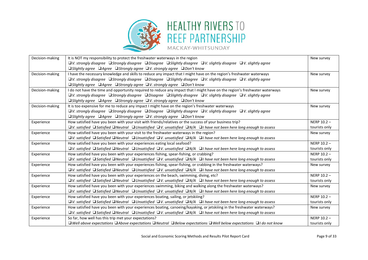![](_page_10_Picture_0.jpeg)

## **HEALTHY RIVERS TO REEF PARTNERSHIP**

MACKAY-WHITSUNDAY

| Decision-making | It is NOT my responsibility to protect the freshwater waterways in the region                                                                                                  |               |
|-----------------|--------------------------------------------------------------------------------------------------------------------------------------------------------------------------------|---------------|
|                 | $\Box$ V. strongly disagree $\Box$ Strongly disagree $\Box$ Disagree $\Box$ Slightly disagree $\Box$ V. slightly agree $\Box$ V. slightly agree                                |               |
|                 | $\Box$ Slightly agree $\Box$ Agree $\Box$ Strongly agree $\Box$ V. strongly agree $\Box$ Don't know                                                                            |               |
| Decision-making | I have the necessary knowledge and skills to reduce any impact that I might have on the region's freshwater waterways                                                          | New survey    |
|                 | $\Box$ V. strongly disagree $\Box$ Strongly disagree $\Box$ Disagree $\Box$ Slightly disagree $\Box$ V. slightly disagree $\Box$ V. slightly agree                             |               |
|                 | $\Box$ Slightly agree $\Box$ Agree $\Box$ Strongly agree $\Box$ V. strongly agree $\Box$ Don't know                                                                            |               |
| Decision-making | I do not have the time and opportunity required to reduce any impact that I might have on the region's freshwater waterways                                                    | New survey    |
|                 | $\Box$ V. strongly disagree $\Box$ Strongly disagree $\Box$ Disagree $\Box$ Slightly disagree $\Box$ V. slightly disagree $\Box$ V. slightly agree                             |               |
|                 | $\Box$ Slightly agree $\Box$ Agree $\Box$ Strongly agree $\Box$ V. strongly agree $\Box$ Don't know                                                                            |               |
| Decision-making | It is too expensive for me to reduce any impact I might have on the region's freshwater waterways                                                                              | New survey    |
|                 | $\Box$ V. strongly disagree $\Box$ Strongly disagree $\Box$ Disagree $\Box$ Slightly disagree $\Box$ V. slightly disagree $\Box$ V. slightly agree                             |               |
|                 | $\Box$ Slightly agree $\Box$ Agree $\Box$ Strongly agree $\Box$ V. strongly agree $\Box$ Don't know                                                                            |               |
| Experience      | How satisfied have you been with your visit with friends/relatives or the success of your business trip?                                                                       | NERP $10.2 -$ |
|                 | $\Box$ V. satisfied $\Box$ Satisfied $\Box$ Neutral $\Box$ Unsatisfied $\Box$ V. unsatisfied $\Box$ N/A $\Box$ I have not been here long enough to assess                      | tourists only |
| Experience      | How satisfied have you been with your visit to the freshwater waterways in the region?                                                                                         | New survey    |
|                 | $\square$ V. satisfied $\square$ Satisfied $\square$ Neutral $\square$ Unsatisfied $\square$ V. unsatisfied $\square$ N/A $\square$ I have not been here long enough to assess |               |
| Experience      | How satisfied have you been with your experiences eating local seafood?                                                                                                        |               |
|                 | $\Box$ V. satisfied $\Box$ Satisfied $\Box$ Neutral $\Box$ Unsatisfied $\Box$ V. unsatisfied $\Box$ N/A $\Box$ I have not been here long enough to assess                      | tourists only |
| Experience      | How satisfied have you been with your experiences fishing, spear-fishing, or crabbing?                                                                                         |               |
|                 | $\Box$ V. satisfied $\Box$ Satisfied $\Box$ Neutral $\Box$ Unsatisfied $\Box$ V. unsatisfied $\Box$ N/A $\Box$ I have not been here long enough to assess                      | tourists only |
| Experience      | How satisfied have you been with your experiences fishing, spear-fishing, or crabbing in the freshwater waterways?                                                             |               |
|                 | $\Box$ V. satisfied $\Box$ Satisfied $\Box$ Neutral $\Box$ Unsatisfied $\Box$ V. unsatisfied $\Box$ N/A $\Box$ I have not been here long enough to assess                      |               |
| Experience      | How satisfied have you been with your experiences on the beach, swimming, diving, etc?                                                                                         | NERP 10.2 -   |
|                 | $\Box$ V. satisfied $\Box$ Satisfied $\Box$ Neutral $\Box$ Unsatisfied $\Box$ V. unsatisfied $\Box$ N/A $\Box$ I have not been here long enough to assess                      | tourists only |
| Experience      | How satisfied have you been with your experiences swimming, biking and walking along the freshwater waterways?                                                                 | New survey    |
|                 | $\Box$ V. satisfied $\Box$ Satisfied $\Box$ Neutral $\Box$ Unsatisfied $\Box$ V. unsatisfied $\Box$ N/A $\Box$ I have not been here long enough to assess                      |               |
| Experience      | How satisfied have you been with your experiences boating, sailing, or jetskiiing?                                                                                             | NERP 10.2 -   |
|                 | $\square$ V. satisfied $\square$ Satisfied $\square$ Neutral $\square$ Unsatisfied $\square$ V. unsatisfied $\square$ N/A $\square$ I have not been here long enough to assess | tourists only |
| Experience      | How satisfied have you been with your experiences boating, canoeing/kayaking, or jetskiiing in the freshwater waterways?                                                       | New survey    |
|                 | $\Box$ V. satisfied $\Box$ Satisfied $\Box$ Neutral $\Box$ Unsatisfied $\Box$ V. unsatisfied $\Box$ N/A $\Box$ I have not been here long enough to assess                      |               |
| Experience      | So far, how well has this trip met your expectations?                                                                                                                          | NERP $10.2 -$ |
|                 | $\Box$ Well above expectations $\Box$ Above expectations $\Box$ Neutral $\Box$ Below expectations $\Box$ Well below expectations $\Box$ I do not know                          | tourists only |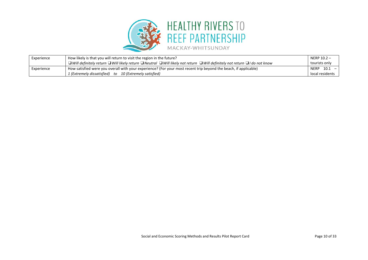![](_page_11_Picture_0.jpeg)

| Experience | How likely is that you will return to visit the region in the future?                                                                                       | NERP 10.2 -             |
|------------|-------------------------------------------------------------------------------------------------------------------------------------------------------------|-------------------------|
|            | $\Box$ Will definitely return $\Box$ Will likely return $\Box$ Neutral $\Box$ Will likely not return $\Box$ Will definitely not return $\Box$ I do not know | tourists only           |
| Experience | How satisfied were you overall with your experience? (For your most recent trip beyond the beach, if applicable)                                            | $10.1 -$<br><b>NERP</b> |
|            | 1 (Extremely dissatisfied) to 10 (Extremely satisfied)                                                                                                      | local residents         |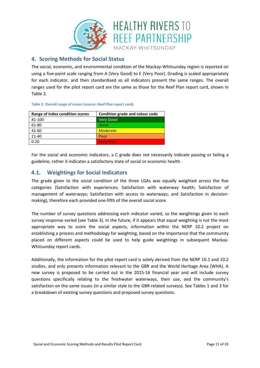![](_page_12_Picture_0.jpeg)

#### <span id="page-12-1"></span>**4. Scoring Methods for Social Status**

The social, economic, and environmental condition of the Mackay-Whitsunday region is reported on using a five-point scale ranging from A (Very Good) to E (Very Poor). Grading is scaled appropriately for each indicator, and then standardised so all indicators present the same ranges. The overall ranges used for the pilot report card are the same as those for the Reef Plan report card, shown in [Table 2.](#page-12-0)

| Range of index condition scores | Condition grade and colour code |
|---------------------------------|---------------------------------|
| 81-100                          | Very Good                       |
| 61-80                           | Good                            |
| 41-60                           | Moderate                        |
| $21 - 40$                       | Poor                            |
| $0 - 20$                        | <b>Very Poor</b>                |

<span id="page-12-0"></span>**Table 2. Overall range of scores (source: Reef Plan report card).**

For the social and economic indicators, a C grade does not necessarily indicate passing or failing a guideline, rather it indicates a satisfactory state of social or economic health.

#### **4.1. Weightings for Social Indicators**

The grade given to the social condition of the three LGAs was equally weighted across the five categories (Satisfaction with experiences; Satisfaction with waterway health; Satisfaction of management of waterways; Satisfaction with access to waterways; and Satisfaction in decisionmaking), therefore each provided one-fifth of the overall social score.

The number of survey questions addressing each indicator varied, so the weightings given to each survey response varied (see [Table 3\)](#page-13-0). In the future, if it appears that equal weighting is not the most appropriate way to score the social aspects, information within the NERP 10.2 project on establishing a process and methodology for weighting, based on the importance that the community placed on different aspects could be used to help guide weightings in subsequent Mackay-Whitsunday report cards.

Additionally, the information for the pilot report card is solely derived from the NERP 10.1 and 10.2 studies, and only presents information relevant to the GBR and the World Heritage Area (WHA). A new survey is proposed to be carried out in the 2015-16 financial year and will include survey questions specifically relating to the freshwater waterways, their use, and the community's satisfaction on the same issues (in a similar style to the GBR-related surveys). See [Tables](#page-8-0) 1 and 3 for a breakdown of existing survey questions and proposed survey questions.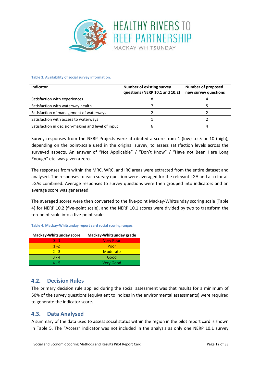![](_page_13_Picture_0.jpeg)

#### <span id="page-13-0"></span>**Table 3. Availability of social survey information.**

| Indicator                                          | <b>Number of existing survey</b><br>questions (NERP 10.1 and 10.2) | <b>Number of proposed</b><br>new survey questions |
|----------------------------------------------------|--------------------------------------------------------------------|---------------------------------------------------|
| Satisfaction with experiences                      |                                                                    |                                                   |
| Satisfaction with waterway health                  |                                                                    |                                                   |
| Satisfaction of management of waterways            |                                                                    |                                                   |
| Satisfaction with access to waterways              |                                                                    |                                                   |
| Satisfaction in decision-making and level of input |                                                                    |                                                   |

Survey responses from the NERP Projects were attributed a score from 1 (low) to 5 or 10 (high), depending on the point-scale used in the original survey, to assess satisfaction levels across the surveyed aspects. An answer of "Not Applicable" / "Don't Know" / "Have not Been Here Long Enough" etc. was given a zero.

The responses from within the MRC, WRC, and IRC areas were extracted from the entire dataset and analysed. The responses to each survey question were averaged for the relevant LGA and also for all LGAs combined. Average responses to survey questions were then grouped into indicators and an average score was generated.

The averaged scores were then converted to the five-point Mackay-Whitsunday scoring scale [\(Table](#page-13-1)  [4\)](#page-13-1) for NERP 10.2 (five-point scale), and the NERP 10.1 scores were divided by two to transform the ten-point scale into a five-point scale.

| Mackay-Whitsunday grade<br>Mackay-Whitsunday score |                  |
|----------------------------------------------------|------------------|
| $0 - 1$                                            | <b>Very Poor</b> |
| $1 - 2$                                            | Poor             |
| $2 - 3$                                            | <b>Moderate</b>  |
| $3 - 4$                                            | Good             |
| 4 - 5                                              | <b>Verv Good</b> |

#### <span id="page-13-1"></span>**Table 4. Mackay-Whitsunday report card social scoring ranges.**

#### **4.2. Decision Rules**

The primary decision rule applied during the social assessment was that results for a minimum of 50% of the survey questions (equivalent to indices in the environmental assessments) were required to generate the indicator score.

#### **4.3. Data Analysed**

A summary of the data used to assess social status within the region in the pilot report card is shown in [Table 5.](#page-14-0) The "Access" indicator was not included in the analysis as only one NERP 10.1 survey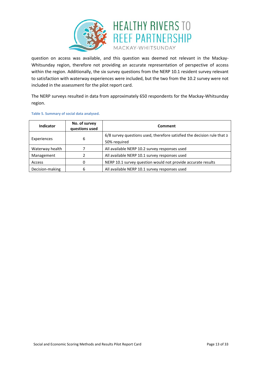![](_page_14_Picture_0.jpeg)

question on access was available, and this question was deemed not relevant in the Mackay-Whitsunday region, therefore not providing an accurate representation of perspective of access within the region. Additionally, the six survey questions from the NERP 10.1 resident survey relevant to satisfaction with waterway experiences were included, but the two from the 10.2 survey were not included in the assessment for the pilot report card.

The NERP surveys resulted in data from approximately 650 respondents for the Mackay-Whitsunday region.

| Indicator       | No. of survey<br>questions used | Comment                                                                     |  |
|-----------------|---------------------------------|-----------------------------------------------------------------------------|--|
| Experiences     | 6                               | 6/8 survey questions used, therefore satisfied the decision rule that $\ge$ |  |
|                 |                                 | 50% required                                                                |  |
| Waterway health |                                 | All available NERP 10.2 survey responses used                               |  |
| Management      |                                 | All available NERP 10.1 survey responses used                               |  |
| Access          | 0                               | NERP 10.1 survey question would not provide accurate results                |  |
| Decision-making | 6                               | All available NERP 10.1 survey responses used                               |  |

#### <span id="page-14-0"></span>**Table 5. Summary of social data analysed.**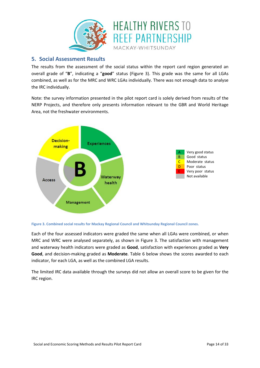![](_page_15_Picture_0.jpeg)

#### **5. Social Assessment Results**

The results from the assessment of the social status within the report card region generated an overall grade of "**B**", indicating a "**good**" status [\(Figure 3\)](#page-15-0). This grade was the same for all LGAs combined, as well as for the MRC and WRC LGAs individually. There was not enough data to analyse the IRC individually.

Note: the survey information presented in the pilot report card is solely derived from results of the NERP Projects, and therefore only presents information relevant to the GBR and World Heritage Area, not the freshwater environments.

![](_page_15_Figure_4.jpeg)

<span id="page-15-0"></span>![](_page_15_Figure_5.jpeg)

Each of the four assessed indicators were graded the same when all LGAs were combined, or when MRC and WRC were analysed separately, as shown in [Figure 3.](#page-15-0) The satisfaction with management and waterway health indicators were graded as **Good**, satisfaction with experiences graded as **Very Good**, and decision-making graded as **Moderate**. [Table 6](#page-16-0) below shows the scores awarded to each indicator, for each LGA, as well as the combined LGA results.

The limited IRC data available through the surveys did not allow an overall score to be given for the IRC region.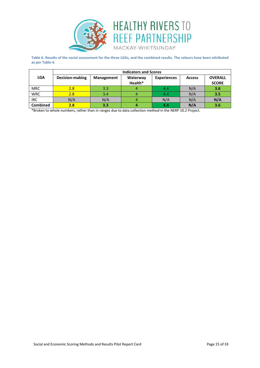![](_page_16_Picture_0.jpeg)

<span id="page-16-0"></span>**Table 6. Results of the social assessment for the three LGAs, and the combined results. The colours have been attributed as per Table 4.**

|                 | <b>Indicators and Scores</b> |            |                     |                    |               |                                |
|-----------------|------------------------------|------------|---------------------|--------------------|---------------|--------------------------------|
| <b>LGA</b>      | <b>Decision-making</b>       | Management | Waterway<br>Health* | <b>Experiences</b> | <b>Access</b> | <b>OVERALL</b><br><b>SCORE</b> |
| <b>MRC</b>      | 2.8                          | 3.3        |                     | 4.4                | N/A           | 3.6                            |
| <b>WRC</b>      | 2.8                          | 3.4        |                     | 4.4                | N/A           | 3.5                            |
| <b>IRC</b>      | N/A                          | N/A        |                     | N/A                | N/A           | N/A                            |
| <b>Combined</b> | 2.8                          | 3.3        |                     | 4.4                | N/A           | 3.6                            |

\*Broken to whole numbers, rather than in ranges due to data collection method in the NERP 10.2 Project.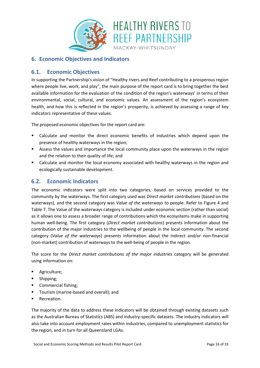![](_page_17_Picture_0.jpeg)

#### **6. Economic Objectives and Indicators**

#### **6.1. Economic Objectives**

In supporting the Partnership's vision of "Healthy rivers and Reef contributing to a prosperous region where people live, work, and play", the main purpose of the report card is to bring together the best available information for the evaluation of the condition of the region's waterways' in terms of their environmental, social, cultural, and economic values. An assessment of the region's ecosystem health, and how this is reflected in the region's prosperity, is achieved by assessing a range of key indicators representative of these values.

The proposed economic objectives for the report card are:

- Calculate and monitor the direct economic benefits of industries which depend upon the presence of healthy waterways in the region;
- Assess the values and importance the local community place upon the waterways in the region and the relation to their quality of life; and
- Calculate and monitor the local economy associated with healthy waterways in the region and ecologically sustainable development.

#### **6.2. Economic Indicators**

The economic indicators were split into two categories, based on services provided to the community by the waterways. The first category used was *Direct market contributions* (based on the waterways), and the second category was *Value of the waterways* to people. Refer to [Figure 4](#page-18-0) and [Table 7.](#page-20-0) The Value of the waterways category is included under economic section (rather than social) as it allows one to assess a broader range of contributions which the ecosystems make in supporting human well-being. The first category (*Direct market contributions*) presents information about the contribution of the major industries to the wellbeing of people in the local community. The second category (*Value of the waterways*) presents information about the indirect and/or non-financial (non-market) contribution of waterways to the well-being of people in the region.

The score for the *Direct market contributions of the major industries* category will be generated using information on:

- Agriculture;
- Shipping;
- Commercial fishing;
- Tourism (marine-based and overall); and
- Recreation.

The majority of the data to address these indicators will be obtained through existing datasets such as the Australian Bureau of Statistics (ABS) and industry-specific datasets. The industry indicators will also take into account employment rates within industries, compared to unemployment statistics for the region, and in turn for all Queensland LGAs.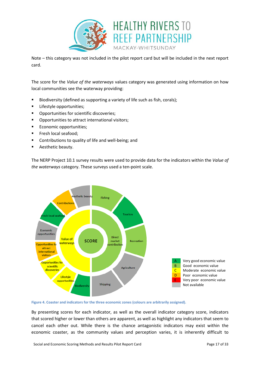![](_page_18_Picture_0.jpeg)

Note – this category was not included in the pilot report card but will be included in the next report card.

The score for the *Value of the waterways* values category was generated using information on how local communities see the waterway providing:

- Biodiversity (defined as supporting a variety of life such as fish, corals);
- **Lifestyle opportunities;**
- **•** Opportunities for scientific discoveries;
- **•** Opportunities to attract international visitors;
- **Economic opportunities;**
- **Filter** Fresh local seafood;
- **EXEDENT** Contributions to quality of life and well-being; and
- **Aesthetic beauty.**

The NERP Project 10.1 survey results were used to provide data for the indicators within the *Value of the waterways* category. These surveys used a ten-point scale.

![](_page_18_Figure_12.jpeg)

<span id="page-18-0"></span>![](_page_18_Figure_13.jpeg)

By presenting scores for each indicator, as well as the overall indicator category score, indicators that scored higher or lower than others are apparent, as well as highlight any indicators that seem to cancel each other out. While there is the chance antagonistic indicators may exist within the economic coaster, as the community values and perception varies, it is inherently difficult to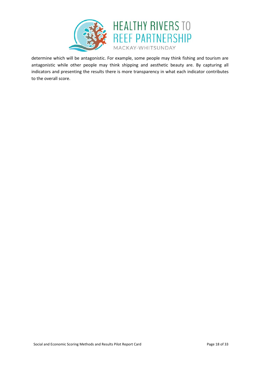![](_page_19_Picture_0.jpeg)

determine which will be antagonistic. For example, some people may think fishing and tourism are antagonistic while other people may think shipping and aesthetic beauty are. By capturing all indicators and presenting the results there is more transparency in what each indicator contributes to the overall score.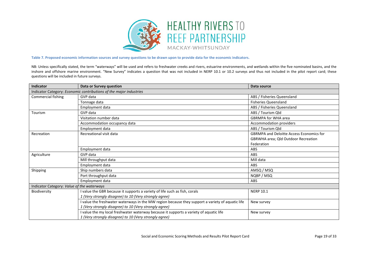![](_page_20_Picture_0.jpeg)

#### **Table 7. Proposed economic information sources and survey questions to be drawn upon to provide data for the economic indicators.**

NB: Unless specifically stated, the term "waterways" will be used and refers to freshwater creeks and rivers, estuarine environments, and wetlands within the five nominated basins, and the inshore and offshore marine environment. "New Survey" indicates a question that was not included in NERP 10.1 or 10.2 surveys and thus not included in the pilot report card; these questions will be included in future surveys.

<span id="page-20-0"></span>

| Indicator                                                          | Data or Survey question                                                                          | Data source                                     |  |  |  |
|--------------------------------------------------------------------|--------------------------------------------------------------------------------------------------|-------------------------------------------------|--|--|--|
| Indicator Category: Economic contributions of the major industries |                                                                                                  |                                                 |  |  |  |
| Commercial fishing                                                 | GVP data                                                                                         | ABS / Fisheries Queensland                      |  |  |  |
|                                                                    | Tonnage data                                                                                     | <b>Fisheries Queensland</b>                     |  |  |  |
|                                                                    | Employment data                                                                                  | ABS / Fisheries Queensland                      |  |  |  |
| Tourism                                                            | GVP data                                                                                         | ABS / Tourism Qld                               |  |  |  |
|                                                                    | Visitation number data                                                                           | <b>GBRMPA for WHA area</b>                      |  |  |  |
|                                                                    | Accommodation occupancy data                                                                     | Accommodation providers                         |  |  |  |
|                                                                    | Employment data                                                                                  | ABS / Tourism Qld                               |  |  |  |
| Recreation                                                         | Recreational visit data                                                                          | <b>GBRMPA and Deloitte Access Economics for</b> |  |  |  |
|                                                                    |                                                                                                  | <b>GBRWHA area: Qld Outdoor Recreation</b>      |  |  |  |
|                                                                    |                                                                                                  | Federation                                      |  |  |  |
|                                                                    | Employment data                                                                                  | ABS                                             |  |  |  |
| Agriculture                                                        | GVP data                                                                                         | ABS                                             |  |  |  |
|                                                                    | Mill throughput data                                                                             | Mill data                                       |  |  |  |
|                                                                    | Employment data                                                                                  | ABS                                             |  |  |  |
| Shipping                                                           | Ship numbers data                                                                                | AMSQ / MSQ                                      |  |  |  |
|                                                                    | Port throughput data                                                                             | NQBP / MSQ                                      |  |  |  |
|                                                                    | Employment data                                                                                  | ABS                                             |  |  |  |
| Indicator Category: Value of the waterways                         |                                                                                                  |                                                 |  |  |  |
| Biodiversity                                                       | I value the GBR because it supports a variety of life such as fish, corals                       | <b>NERP 10.1</b>                                |  |  |  |
|                                                                    | 1 (Very strongly disagree) to 10 (Very strongly agree)                                           |                                                 |  |  |  |
|                                                                    | I value the freshwater waterways in the MW region because they support a variety of aquatic life | New survey                                      |  |  |  |
|                                                                    | 1 (Very strongly disagree) to 10 (Very strongly agree)                                           |                                                 |  |  |  |
|                                                                    | I value the my local freshwater waterway because it supports a variety of aquatic life           | New survey                                      |  |  |  |
|                                                                    | 1 (Very strongly disagree) to 10 (Very strongly agree)                                           |                                                 |  |  |  |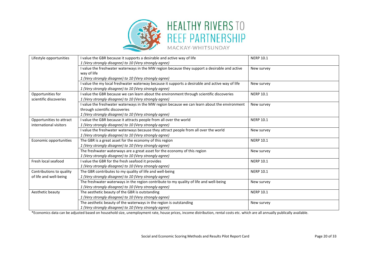![](_page_21_Picture_0.jpeg)

| Lifestyle opportunities  | I value the GBR because it supports a desirable and active way of life<br>1 (Very strongly disagree) to 10 (Very strongly agree) | <b>NERP 10.1</b> |
|--------------------------|----------------------------------------------------------------------------------------------------------------------------------|------------------|
|                          | I value the freshwater waterways in the MW region because they support a desirable and active                                    | New survey       |
|                          | way of life                                                                                                                      |                  |
|                          | 1 (Very strongly disagree) to 10 (Very strongly agree)                                                                           |                  |
|                          | I value the my local freshwater waterway because it supports a desirable and active way of life                                  | New survey       |
|                          | 1 (Very strongly disagree) to 10 (Very strongly agree)                                                                           |                  |
| Opportunities for        | I value the GBR because we can learn about the environment through scientific discoveries                                        | <b>NERP 10.1</b> |
| scientific discoveries   | 1 (Very strongly disagree) to 10 (Very strongly agree)                                                                           |                  |
|                          | I value the freshwater waterways in the MW region because we can learn about the environment                                     | New survey       |
|                          | through scientific discoveries                                                                                                   |                  |
|                          | 1 (Very strongly disagree) to 10 (Very strongly agree)                                                                           |                  |
| Opportunities to attract | I value the GBR because it attracts people from all over the world                                                               | <b>NERP 10.1</b> |
| international visitors   | 1 (Very strongly disagree) to 10 (Very strongly agree)                                                                           |                  |
|                          | I value the freshwater waterways because they attract people from all over the world                                             | New survey       |
|                          | 1 (Very strongly disagree) to 10 (Very strongly agree)                                                                           |                  |
| Economic opportunities   | The GBR is a great asset for the economy of this region                                                                          | <b>NERP 10.1</b> |
|                          | 1 (Very strongly disagree) to 10 (Very strongly agree)                                                                           |                  |
|                          | The freshwater waterways are a great asset for the economy of this region                                                        | New survey       |
|                          | 1 (Very strongly disagree) to 10 (Very strongly agree)                                                                           |                  |
| Fresh local seafood      | I value the GBR for the fresh seafood it provides                                                                                | <b>NERP 10.1</b> |
|                          | 1 (Very strongly disagree) to 10 (Very strongly agree)                                                                           |                  |
| Contributions to quality | The GBR contributes to my quality of life and well-being                                                                         | <b>NERP 10.1</b> |
| of life and well-being   | 1 (Very strongly disagree) to 10 (Very strongly agree)                                                                           |                  |
|                          | The freshwater waterways in the region contribute to my quality of life and well-being                                           | New survey       |
|                          | 1 (Very strongly disagree) to 10 (Very strongly agree)                                                                           |                  |
| Aesthetic beauty         | The aesthetic beauty of the GBR is outstanding                                                                                   | <b>NERP 10.1</b> |
|                          | 1 (Very strongly disagree) to 10 (Very strongly agree)                                                                           |                  |
|                          | The aesthetic beauty of the waterways in the region is outstanding                                                               | New survey       |
|                          | 1 (Very strongly disagree) to 10 (Very strongly agree)                                                                           |                  |

\*Economics data can be adjusted based on household size, unemployment rate, house prices, income distribution, rental costs etc. which are all annually publically available.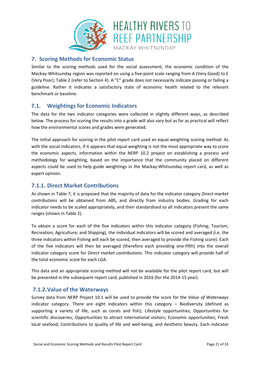![](_page_22_Picture_0.jpeg)

#### **7. Scoring Methods for Economic Status**

Similar to the scoring methods used for the social assessment, the economic condition of the Mackay-Whitsunday region was reported on using a five-point scale ranging from A (Very Good) to E (Very Poor); [Table 2](#page-12-0) (refer to Section [4\)](#page-12-1). A "C" grade does not necessarily indicate passing or failing a guideline. Rather it indicates a satisfactory state of economic health related to the relevant benchmark or baseline.

#### **7.1. Weightings for Economic Indicators**

The data for the two indicator categories were collected in slightly different ways, as described below. The process for scoring the results into a grade will also vary but as far as practical will reflect how the environmental scores and grades were generated.

The initial approach for scoring in the pilot report card used an equal weighting scoring method. As with the social indicators, if it appears that equal weighting is not the most appropriate way to score the economic aspects, information within the NERP 10.2 project on establishing a process and methodology for weighting, based on the importance that the community placed on different aspects could be used to help guide weightings in the Mackay-Whitsunday report card, as well as expert opinion.

#### **7.1.1. Direct Market Contributions**

As shown i[n Table 7,](#page-20-0) it is proposed that the majority of data for the indicator category *Direct market contributions* will be obtained from ABS, and directly from industry bodies. Grading for each indicator needs to be scaled appropriately, and then standardised so all indicators present the same ranges (shown i[n Table 2\)](#page-12-0).

To obtain a score for each of the five indicators within this indicator category (Fishing; Tourism; Recreation; Agriculture; and Shipping), the individual indicators will be scored and averaged (i.e. the three indicators within Fishing will each be scored, then averaged to provide the Fishing score). Each of the five indicators will then be averaged (therefore each providing one-fifth) into the overall indicator category score for *Direct market contributions*. This indicator category will provide half of the total economic score for each LGA.

This data and an appropriate scoring method will not be available for the pilot report card, but will be presented in the subsequent report card, published in 2016 (for the 2014-15 year).

#### **7.1.2.Value of the Waterways**

Survey data from NERP Project 10.1 will be used to provide the score for the *Value of Waterways* indicator category. There are eight indicators within this category – Biodiversity (defined as supporting a variety of life, such as corals and fish); Lifestyle opportunities; Opportunities for scientific discoveries; Opportunities to attract international visitors; Economic opportunities; Fresh local seafood; Contributions to quality of life and well-being; and Aesthetic beauty. Each indicator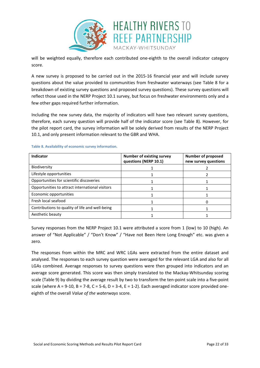![](_page_23_Picture_0.jpeg)

will be weighted equally, therefore each contributed one-eighth to the overall indicator category score.

A new survey is proposed to be carried out in the 2015-16 financial year and will include survey questions about the value provided to communities from freshwater waterways (see [Table 8](#page-23-0) for a breakdown of existing survey questions and proposed survey questions). These survey questions will reflect those used in the NERP Project 10.1 survey, but focus on freshwater environments only and a few other gaps required further information.

Including the new survey data, the majority of indicators will have two relevant survey questions, therefore, each survey question will provide half of the indicator score (see [Table 8\)](#page-23-0). However, for the pilot report card, the survey information will be solely derived from results of the NERP Project 10.1, and only present information relevant to the GBR and WHA.

| <b>Indicator</b>                                | <b>Number of existing survey</b><br>questions (NERP 10.1) | <b>Number of proposed</b><br>new survey questions |
|-------------------------------------------------|-----------------------------------------------------------|---------------------------------------------------|
| Biodiversity                                    |                                                           |                                                   |
| Lifestyle opportunities                         |                                                           |                                                   |
| Opportunities for scientific discoveries        |                                                           |                                                   |
| Opportunities to attract international visitors |                                                           |                                                   |
| Economic opportunities                          |                                                           |                                                   |
| Fresh local seafood                             |                                                           |                                                   |
| Contributions to quality of life and well-being |                                                           |                                                   |
| Aesthetic beauty                                |                                                           |                                                   |

#### <span id="page-23-0"></span>**Table 8. Availability of economic survey information.**

Survey responses from the NERP Project 10.1 were attributed a score from 1 (low) to 10 (high). An answer of "Not Applicable" / "Don't Know" / "Have not Been Here Long Enough" etc. was given a zero.

The responses from within the MRC and WRC LGAs were extracted from the entire dataset and analysed. The responses to each survey question were averaged for the relevant LGA and also for all LGAs combined. Average responses to survey questions were then grouped into indicators and an average score generated. This score was then simply translated to the Mackay-Whitsunday scoring scale [\(Table 9\)](#page-24-0) by dividing the average result by two to transform the ten-point scale into a five-point scale (where A = 9-10, B = 7-8, C = 5-6, D = 3-4, E = 1-2). Each averaged indicator score provided oneeighth of the overall *Value of the waterways* score.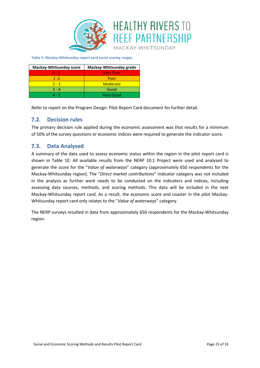![](_page_24_Picture_0.jpeg)

<span id="page-24-0"></span>**Table 9. Mackay-Whitsunday report card social scoring ranges**

| Mackay-Whitsunday score | Mackay-Whitsunday grade |  |  |
|-------------------------|-------------------------|--|--|
| $0 - 1$                 | <b>Very Poor</b>        |  |  |
| $1 - 2$                 | Poor                    |  |  |
| $2 - 3$                 | <b>Moderate</b>         |  |  |
| $3 - 4$                 | Good                    |  |  |
| 4 - 5                   | <b>Very Good</b>        |  |  |

Refer to report on the Program Design: Pilot Report Card document for further detail.

#### **7.2. Decision rules**

The primary decision rule applied during the economic assessment was that results for a minimum of 50% of the survey questions or economic indices were required to generate the indicator score.

#### **7.3. Data Analysed**

A summary of the data used to assess economic status within the region in the pilot report card is shown in [Table 10.](#page-25-0) All available results from the NERP 10.1 Project were used and analysed to generate the score for the "*Value of waterways*" category (approximately 650 respondents for the Mackay-Whitsunday region). The "*Direct market contributions*" indicator category was not included in the analysis as further work needs to be conducted on the indicators and indices, including assessing data sources, methods, and scoring methods. This data will be included in the next Mackay-Whitsunday report card. As a result, the economic score and coaster in the pilot Mackay-Whitsunday report card only relates to the "*Value of waterways*" category.

The NERP surveys resulted in data from approximately 650 respondents for the Mackay-Whitsunday region.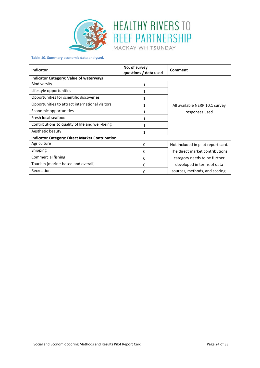![](_page_25_Picture_0.jpeg)

![](_page_25_Picture_1.jpeg)

<span id="page-25-0"></span>**Table 10. Summary economic data analysed.**

| <b>Indicator</b>                                      | No. of survey<br>questions / data used | Comment                            |  |  |  |
|-------------------------------------------------------|----------------------------------------|------------------------------------|--|--|--|
| <b>Indicator Category: Value of waterways</b>         |                                        |                                    |  |  |  |
| <b>Biodiversity</b>                                   | 1                                      |                                    |  |  |  |
| Lifestyle opportunities                               | 1                                      |                                    |  |  |  |
| Opportunities for scientific discoveries              | 1                                      |                                    |  |  |  |
| Opportunities to attract international visitors       |                                        | All available NERP 10.1 survey     |  |  |  |
| Economic opportunities                                |                                        | responses used                     |  |  |  |
| Fresh local seafood                                   | 1                                      |                                    |  |  |  |
| Contributions to quality of life and well-being       |                                        |                                    |  |  |  |
| Aesthetic beauty                                      |                                        |                                    |  |  |  |
| <b>Indicator Category: Direct Market Contribution</b> |                                        |                                    |  |  |  |
| Agriculture                                           | 0                                      | Not included in pilot report card. |  |  |  |
| Shipping                                              | 0                                      | The direct market contributions    |  |  |  |
| Commercial fishing                                    | 0                                      | category needs to be further       |  |  |  |
| Tourism (marine-based and overall)                    | 0                                      | developed in terms of data         |  |  |  |
| Recreation                                            | 0                                      | sources, methods, and scoring.     |  |  |  |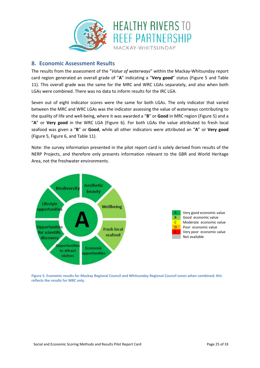![](_page_26_Picture_0.jpeg)

#### **8. Economic Assessment Results**

The results from the assessment of the "*Value of waterways*" within the Mackay-Whitsunday report card region generated an overall grade of "**A**" indicating a "**Very good**" status [\(Figure 5](#page-26-0) and [Table](#page-28-0)  [11\)](#page-28-0). This overall grade was the same for the MRC and WRC LGAs separately, and also when both LGAs were combined. There was no data to inform results for the IRC LGA.

Seven out of eight indicator scores were the same for both LGAs. The only indicator that varied between the MRC and WRC LGAs was the indicator assessing the value of waterways contributing to the quality of life and well-being, where it was awarded a "**B**" or **Good** in MRC region [\(Figure 5\)](#page-26-0) and a "**A**" or **Very good** in the WRC LGA [\(Figure 6\)](#page-27-0). For both LGAs the value attributed to fresh local seafood was given a "**B**" or **Good**, while all other indicators were attributed an "**A**" or **Very good** [\(Figure 5,](#page-26-0) [Figure 6,](#page-27-0) and [Table 11\)](#page-28-0).

Note: the survey information presented in the pilot report card is solely derived from results of the NERP Projects, and therefore only presents information relevant to the GBR and World Heritage Area, not the freshwater environments.

![](_page_26_Figure_5.jpeg)

![](_page_26_Figure_6.jpeg)

<span id="page-26-0"></span>**Figure 5. Economic results for Mackay Regional Council and Whitsunday Regional Council zones when combined; this reflects the results for MRC only.**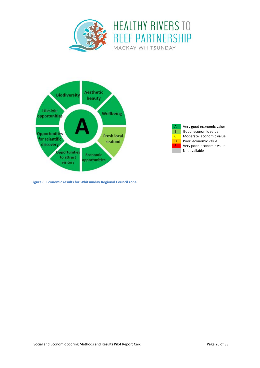![](_page_27_Picture_0.jpeg)

![](_page_27_Figure_1.jpeg)

![](_page_27_Figure_2.jpeg)

<span id="page-27-0"></span>**Figure 6. Economic results for Whitsunday Regional Council zone.**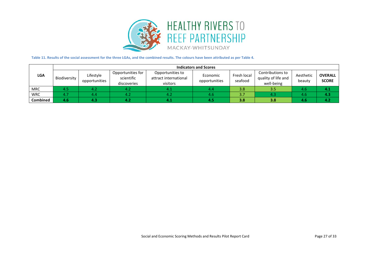![](_page_28_Picture_0.jpeg)

#### **Table 11. Results of the social assessment for the three LGAs, and the combined results. The colours have been attributed as per Table 4.**

<span id="page-28-0"></span>

|                 | <b>Indicators and Scores</b> |                            |                                                |                                                       |                           |                        |                                                       |                     |                                |
|-----------------|------------------------------|----------------------------|------------------------------------------------|-------------------------------------------------------|---------------------------|------------------------|-------------------------------------------------------|---------------------|--------------------------------|
| <b>LGA</b>      | Biodiversity                 | Lifestyle<br>opportunities | Opportunities for<br>scientific<br>discoveries | Opportunities to<br>attract international<br>visitors | Economic<br>opportunities | Fresh local<br>seafood | Contributions to<br>quality of life and<br>well-being | Aesthetic<br>beauty | <b>OVERALL</b><br><b>SCORE</b> |
| <b>MRC</b>      |                              | 4.2                        | 4.2                                            | 4.1                                                   | 4.4                       | 3.8                    | 3.5                                                   | 4.6                 | 4.7                            |
| <b>WRC</b>      |                              | 4.4                        | 4.2                                            | 4.2                                                   | 4.6                       | 3.7                    | 4.3                                                   | 4.6                 | 4.3                            |
| <b>Combined</b> | 4.6                          | 4.3                        | 4.2                                            | 1.1                                                   | 4.5                       | 3.8                    | 3.8                                                   | 4.6                 | 4.2                            |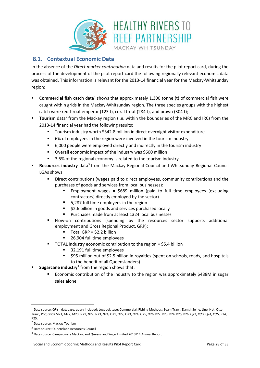![](_page_29_Picture_0.jpeg)

### **8.1. Contextual Economic Data**

In the absence of the *Direct market contribution* data and results for the pilot report card, during the process of the development of the pilot report card the following regionally relevant economic data was obtained. This information is relevant for the 2013-14 financial year for the Mackay-Whitsunday region:

- **Commercial fish catch** data<sup>[1](#page-29-0)</sup> shows that approximately 1,300 tonne (t) of commercial fish were caught within grids in the Mackay-Whitsunday region. The three species groups with the highest catch were redthroat emperor (123 t), coral trout (284 t), and prawn (304 t);
- **Tourism** data<sup>[2](#page-29-1)</sup> from the Mackay region (i.e. within the boundaries of the MRC and IRC) from the 2013-14 financial year had the following results:
	- Tourism industry worth \$342.8 million in direct overnight visitor expenditure
	- 6% of employees in the region were involved in the tourism industry
	- 6,000 people were employed directly and indirectly in the tourism industry
	- Overall economic impact of the industry was \$600 million
	- 3.5% of the regional economy is related to the tourism industry
- **Resources industry** data<sup>3</sup> from the Mackay Regional Council and Whitsunday Regional Council LGAs shows:
	- **•** Direct contributions (wages paid to direct employees, community contributions and the purchases of goods and services from local businesses):
		- Employment wages = \$689 million (paid to full time employees (excluding contractors) directly employed by the sector)
		- 5,287 full time employees in the region
		- \$2.6 billion in goods and services purchased locally
		- **Purchases made from at least 1324 local businesses**
	- Flow-on contributions (spending by the resources sector supports additional employment and Gross Regional Product, GRP):
		- $\blacksquare$  Total GRP = \$2.2 billion
		- 26,904 full time employees
		- TOTAL industry economic contribution to the region = \$5.4 billion
			- 32,191 full time employees
			- \$95 million out of \$2.5 billion in royalties (spent on schools, roads, and hospitals to the benefit of all Queenslanders)
- **Sugarcane industry**<sup>[4](#page-29-3)</sup> from the region shows that:
	- Economic contribution of the industry to the region was approximately \$488M in sugar sales alone

<span id="page-29-0"></span> <sup>1</sup> Data source: QFish database, query included: Logbook type: Commercial; Fishing Methods: Beam Trawl, Danish Seine, Line, Net, Otter Trawl, Pot; Grids M21, M22, M23, N21, N22, N23, N24, O21, O22, O23, O24, O25, O26, P22, P23, P24, P25, P26, Q22, Q23, Q24, Q25, R24, R25.

<span id="page-29-1"></span><sup>2</sup> Data source: Mackay Tourism

<span id="page-29-2"></span><sup>3</sup> Data source: Queensland Resources Council

<span id="page-29-3"></span><sup>4</sup> Data source: Canegrowers Mackay, and Queensland Sugar Limited 2013/14 Annual Report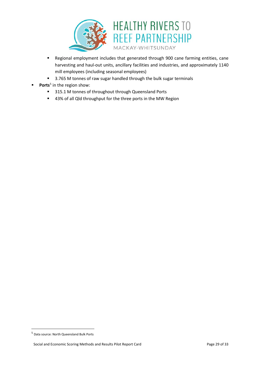![](_page_30_Picture_0.jpeg)

- Regional employment includes that generated through 900 cane farming entities, cane harvesting and haul-out units, ancillary facilities and industries, and approximately 1140 mill employees (including seasonal employees)
- 3.765 M tonnes of raw sugar handled through the bulk sugar terminals
- Ports<sup>[5](#page-30-0)</sup> in the region show:
	- **315.1 M tonnes of throughout through Queensland Ports**
	- 43% of all Qld throughput for the three ports in the MW Region

<span id="page-30-0"></span> <sup>5</sup> Data source: North Queensland Bulk Ports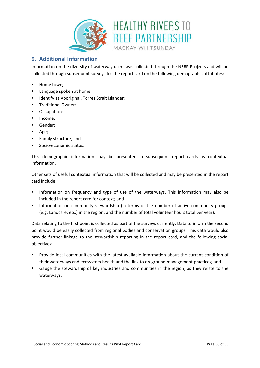![](_page_31_Picture_0.jpeg)

#### **9. Additional Information**

Information on the diversity of waterway users was collected through the NERP Projects and will be collected through subsequent surveys for the report card on the following demographic attributes:

- **-** Home town;
- **Example 2** Language spoken at home;
- **IDENTIFY AS Aboriginal, Torres Strait Islander;**
- **Traditional Owner;**
- **•** Occupation;
- **Income;**
- **Gender**;
- Age;
- **Family structure; and**
- Socio-economic status.

This demographic information may be presented in subsequent report cards as contextual information.

Other sets of useful contextual information that will be collected and may be presented in the report card include:

- Information on frequency and type of use of the waterways. This information may also be included in the report card for context; and
- Information on community stewardship (in terms of the number of active community groups (e.g. Landcare, etc.) in the region; and the number of total volunteer hours total per year).

Data relating to the first point is collected as part of the surveys currently. Data to inform the second point would be easily collected from regional bodies and conservation groups. This data would also provide further linkage to the stewardship reporting in the report card, and the following social objectives:

- Provide local communities with the latest available information about the current condition of their waterways and ecosystem health and the link to on-ground management practices; and
- Gauge the stewardship of key industries and communities in the region, as they relate to the waterways.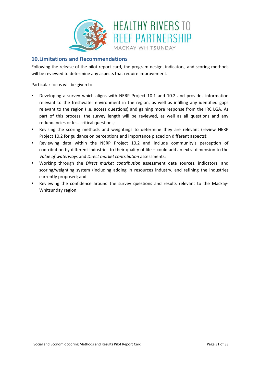![](_page_32_Picture_0.jpeg)

#### **10.Limitations and Recommendations**

Following the release of the pilot report card, the program design, indicators, and scoring methods will be reviewed to determine any aspects that require improvement.

Particular focus will be given to:

- Developing a survey which aligns with NERP Project 10.1 and 10.2 and provides information relevant to the freshwater environment in the region, as well as infilling any identified gaps relevant to the region (i.e. access questions) and gaining more response from the IRC LGA. As part of this process, the survey length will be reviewed, as well as all questions and any redundancies or less critical questions;
- Revising the scoring methods and weightings to determine they are relevant (review NERP Project 10.2 for guidance on perceptions and importance placed on different aspects);
- Reviewing data within the NERP Project 10.2 and include community's perception of contribution by different industries to their quality of life – could add an extra dimension to the *Value of waterways* and *Direct market contribution* assessments;
- Working through the *Direct market contribution* assessment data sources, indicators, and scoring/weighting system (including adding in resources industry, and refining the industries currently proposed; and
- Reviewing the confidence around the survey questions and results relevant to the Mackay-Whitsunday region.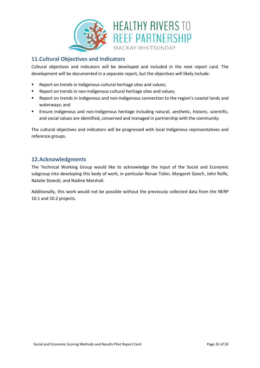![](_page_33_Picture_0.jpeg)

#### **11.Cultural Objectives and Indicators**

Cultural objectives and indicators will be developed and included in the next report card. The development will be documented in a separate report, but the objectives will likely include:

- **Report on trends in Indigenous cultural heritage sites and values;**
- Report on trends in non-Indigenous cultural heritage sites and values;
- Report on trends in Indigenous and non-Indigenous connection to the region's coastal lands and waterways; and
- Ensure Indigenous and non-Indigenous heritage including natural, aesthetic, historic, scientific, and social values are identified, conserved and managed in partnership with the community.

The cultural objectives and indicators will be progressed with local Indigenous representatives and reference groups.

#### **12.Acknowledgments**

The Technical Working Group would like to acknowledge the input of the Social and Economic subgroup into developing this body of work, in particular Renae Tobin, Margaret Gooch, John Rolfe, Natalie Stoeckl, and Nadine Marshall.

Additionally, this work would not be possible without the previously collected data from the NERP 10.1 and 10.2 projects.